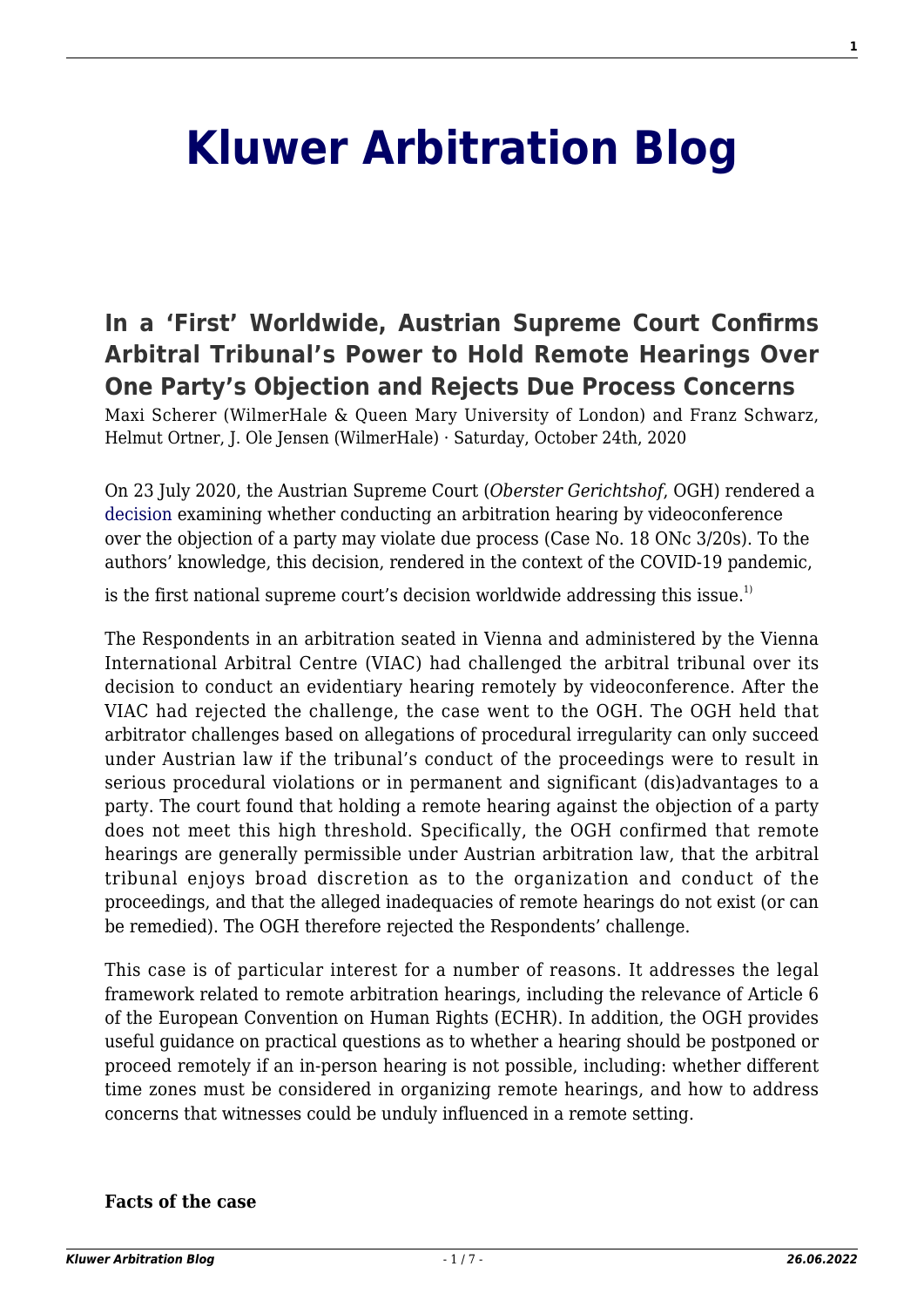# **[Kluwer Arbitration Blog](http://arbitrationblog.kluwerarbitration.com/)**

# **[In a 'First' Worldwide, Austrian Supreme Court Confirms](http://arbitrationblog.kluwerarbitration.com/2020/10/24/in-a-first-worldwide-austrian-supreme-court-confirms-arbitral-tribunals-power-to-hold-remote-hearings-over-one-partys-objection-and-rejects-due-process-concerns/) [Arbitral Tribunal's Power to Hold Remote Hearings Over](http://arbitrationblog.kluwerarbitration.com/2020/10/24/in-a-first-worldwide-austrian-supreme-court-confirms-arbitral-tribunals-power-to-hold-remote-hearings-over-one-partys-objection-and-rejects-due-process-concerns/) [One Party's Objection and Rejects Due Process Concerns](http://arbitrationblog.kluwerarbitration.com/2020/10/24/in-a-first-worldwide-austrian-supreme-court-confirms-arbitral-tribunals-power-to-hold-remote-hearings-over-one-partys-objection-and-rejects-due-process-concerns/)**

Maxi Scherer (WilmerHale & Queen Mary University of London) and Franz Schwarz, Helmut Ortner, J. Ole Jensen (WilmerHale) · Saturday, October 24th, 2020

On 23 July 2020, the Austrian Supreme Court (*Oberster Gerichtshof*, OGH) rendered a [decision](https://www.ris.bka.gv.at/Dokumente/Justiz/JJT_20200723_OGH0002_018ONC00003_20S0000_000/JJT_20200723_OGH0002_018ONC00003_20S0000_000.pdf) examining whether conducting an arbitration hearing by videoconference over the objection of a party may violate due process (Case No. 18 ONc 3/20s). To the authors' knowledge, this decision, rendered in the context of the COVID-19 pandemic,

is the first national supreme court's decision worldwide addressing this issue.<sup>1)</sup>

The Respondents in an arbitration seated in Vienna and administered by the Vienna International Arbitral Centre (VIAC) had challenged the arbitral tribunal over its decision to conduct an evidentiary hearing remotely by videoconference. After the VIAC had rejected the challenge, the case went to the OGH. The OGH held that arbitrator challenges based on allegations of procedural irregularity can only succeed under Austrian law if the tribunal's conduct of the proceedings were to result in serious procedural violations or in permanent and significant (dis)advantages to a party. The court found that holding a remote hearing against the objection of a party does not meet this high threshold. Specifically, the OGH confirmed that remote hearings are generally permissible under Austrian arbitration law, that the arbitral tribunal enjoys broad discretion as to the organization and conduct of the proceedings, and that the alleged inadequacies of remote hearings do not exist (or can be remedied). The OGH therefore rejected the Respondents' challenge.

This case is of particular interest for a number of reasons. It addresses the legal framework related to remote arbitration hearings, including the relevance of Article 6 of the European Convention on Human Rights (ECHR). In addition, the OGH provides useful guidance on practical questions as to whether a hearing should be postponed or proceed remotely if an in-person hearing is not possible, including: whether different time zones must be considered in organizing remote hearings, and how to address concerns that witnesses could be unduly influenced in a remote setting.

#### **Facts of the case**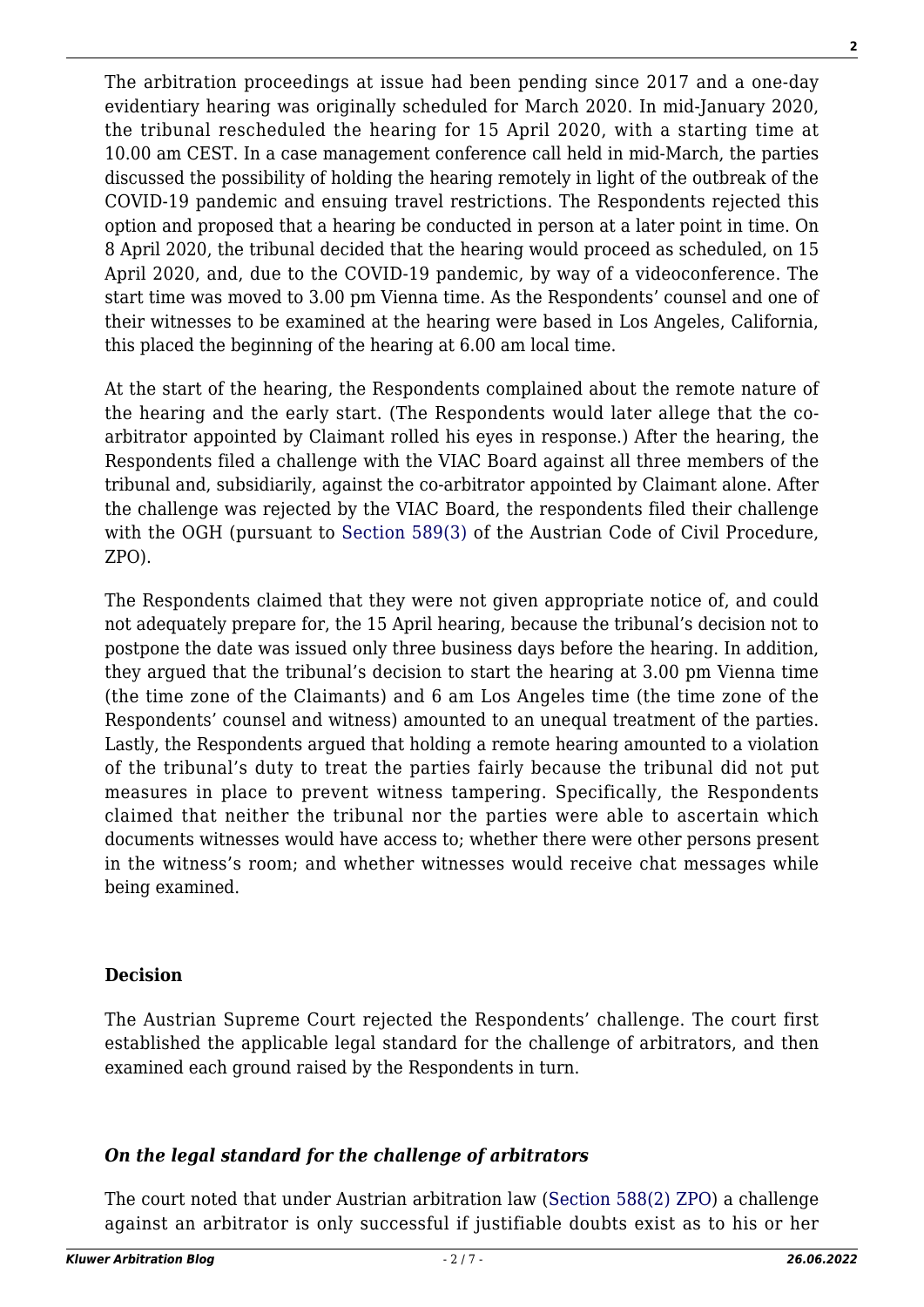The arbitration proceedings at issue had been pending since 2017 and a one-day evidentiary hearing was originally scheduled for March 2020. In mid-January 2020, the tribunal rescheduled the hearing for 15 April 2020, with a starting time at 10.00 am CEST. In a case management conference call held in mid-March, the parties discussed the possibility of holding the hearing remotely in light of the outbreak of the COVID-19 pandemic and ensuing travel restrictions. The Respondents rejected this option and proposed that a hearing be conducted in person at a later point in time. On 8 April 2020, the tribunal decided that the hearing would proceed as scheduled, on 15 April 2020, and, due to the COVID-19 pandemic, by way of a videoconference. The start time was moved to 3.00 pm Vienna time. As the Respondents' counsel and one of their witnesses to be examined at the hearing were based in Los Angeles, California, this placed the beginning of the hearing at 6.00 am local time.

At the start of the hearing, the Respondents complained about the remote nature of the hearing and the early start. (The Respondents would later allege that the coarbitrator appointed by Claimant rolled his eyes in response.) After the hearing, the Respondents filed a challenge with the VIAC Board against all three members of the tribunal and, subsidiarily, against the co-arbitrator appointed by Claimant alone. After the challenge was rejected by the VIAC Board, the respondents filed their challenge with the OGH (pursuant to [Section 589\(3\)](https://www.ris.bka.gv.at/Dokumente/Erv/ERV_2006_1_7/ERV_2006_1_7.html) of the Austrian Code of Civil Procedure, ZPO).

The Respondents claimed that they were not given appropriate notice of, and could not adequately prepare for, the 15 April hearing, because the tribunal's decision not to postpone the date was issued only three business days before the hearing. In addition, they argued that the tribunal's decision to start the hearing at 3.00 pm Vienna time (the time zone of the Claimants) and 6 am Los Angeles time (the time zone of the Respondents' counsel and witness) amounted to an unequal treatment of the parties. Lastly, the Respondents argued that holding a remote hearing amounted to a violation of the tribunal's duty to treat the parties fairly because the tribunal did not put measures in place to prevent witness tampering. Specifically, the Respondents claimed that neither the tribunal nor the parties were able to ascertain which documents witnesses would have access to; whether there were other persons present in the witness's room; and whether witnesses would receive chat messages while being examined.

#### **Decision**

The Austrian Supreme Court rejected the Respondents' challenge. The court first established the applicable legal standard for the challenge of arbitrators, and then examined each ground raised by the Respondents in turn.

## *On the legal standard for the challenge of arbitrators*

The court noted that under Austrian arbitration law ([Section 588\(2\) ZPO\)](https://www.ris.bka.gv.at/Dokumente/Erv/ERV_2006_1_7/ERV_2006_1_7.html) a challenge against an arbitrator is only successful if justifiable doubts exist as to his or her

**2**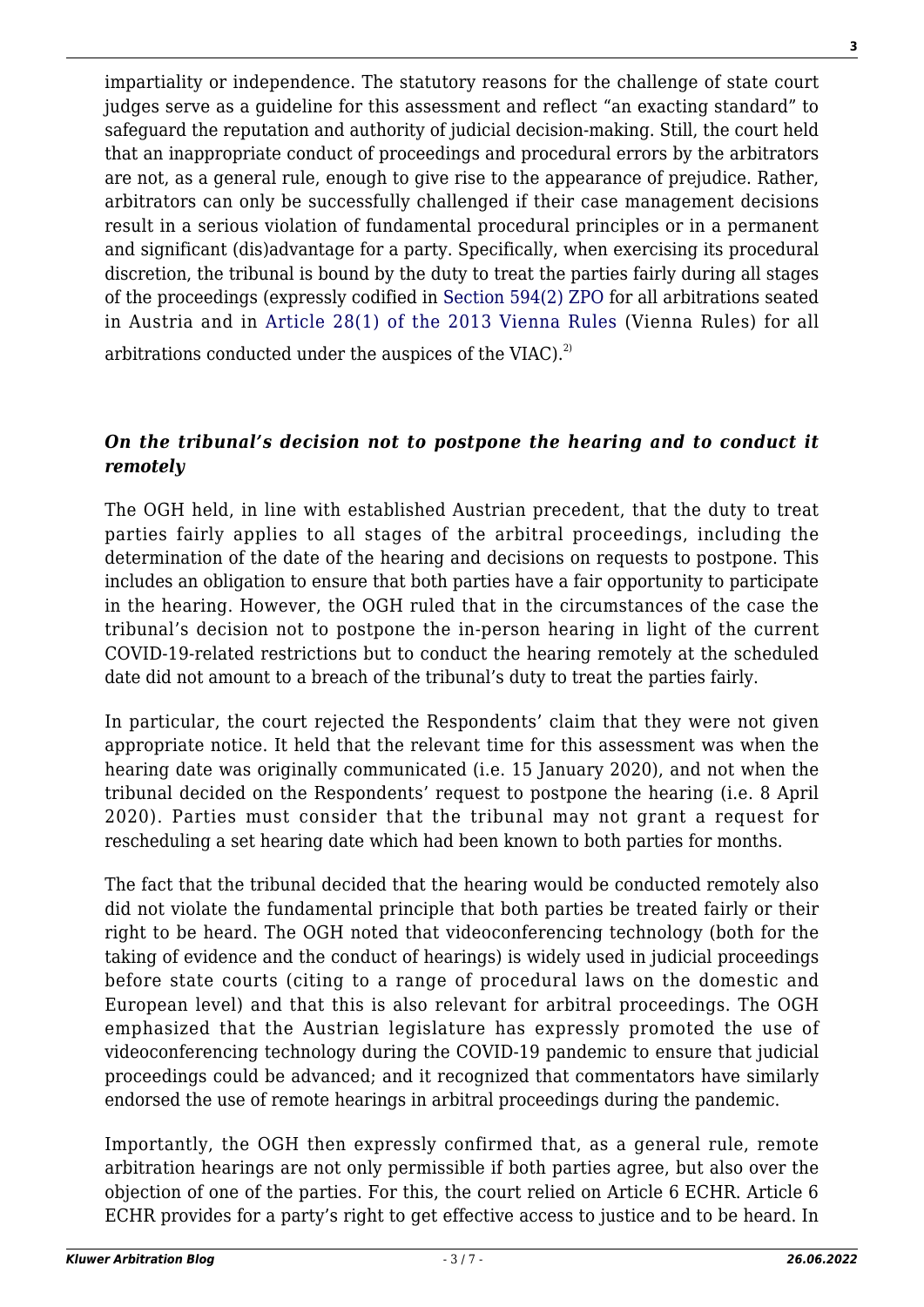impartiality or independence. The statutory reasons for the challenge of state court judges serve as a guideline for this assessment and reflect "an exacting standard" to safeguard the reputation and authority of judicial decision-making. Still, the court held that an inappropriate conduct of proceedings and procedural errors by the arbitrators are not, as a general rule, enough to give rise to the appearance of prejudice. Rather, arbitrators can only be successfully challenged if their case management decisions result in a serious violation of fundamental procedural principles or in a permanent and significant (dis)advantage for a party. Specifically, when exercising its procedural discretion, the tribunal is bound by the duty to treat the parties fairly during all stages of the proceedings (expressly codified in [Section 594\(2\) ZPO](https://www.ris.bka.gv.at/Dokumente/Erv/ERV_2006_1_7/ERV_2006_1_7.html) for all arbitrations seated in Austria and in [Article 28\(1\) of the 2013 Vienna Rules](https://www.viac.eu/en/arbitration/content/vienna-rules-2013-online) (Vienna Rules) for all arbitrations conducted under the auspices of the VIAC). $^{2)}$ 

### *On the tribunal's decision not to postpone the hearing and to conduct it remotely*

The OGH held, in line with established Austrian precedent, that the duty to treat parties fairly applies to all stages of the arbitral proceedings, including the determination of the date of the hearing and decisions on requests to postpone. This includes an obligation to ensure that both parties have a fair opportunity to participate in the hearing. However, the OGH ruled that in the circumstances of the case the tribunal's decision not to postpone the in-person hearing in light of the current COVID-19-related restrictions but to conduct the hearing remotely at the scheduled date did not amount to a breach of the tribunal's duty to treat the parties fairly.

In particular, the court rejected the Respondents' claim that they were not given appropriate notice. It held that the relevant time for this assessment was when the hearing date was originally communicated (i.e. 15 January 2020), and not when the tribunal decided on the Respondents' request to postpone the hearing (i.e. 8 April 2020). Parties must consider that the tribunal may not grant a request for rescheduling a set hearing date which had been known to both parties for months.

The fact that the tribunal decided that the hearing would be conducted remotely also did not violate the fundamental principle that both parties be treated fairly or their right to be heard. The OGH noted that videoconferencing technology (both for the taking of evidence and the conduct of hearings) is widely used in judicial proceedings before state courts (citing to a range of procedural laws on the domestic and European level) and that this is also relevant for arbitral proceedings. The OGH emphasized that the Austrian legislature has expressly promoted the use of videoconferencing technology during the COVID-19 pandemic to ensure that judicial proceedings could be advanced; and it recognized that commentators have similarly endorsed the use of remote hearings in arbitral proceedings during the pandemic.

Importantly, the OGH then expressly confirmed that, as a general rule, remote arbitration hearings are not only permissible if both parties agree, but also over the objection of one of the parties. For this, the court relied on Article 6 ECHR. Article 6 ECHR provides for a party's right to get effective access to justice and to be heard. In **3**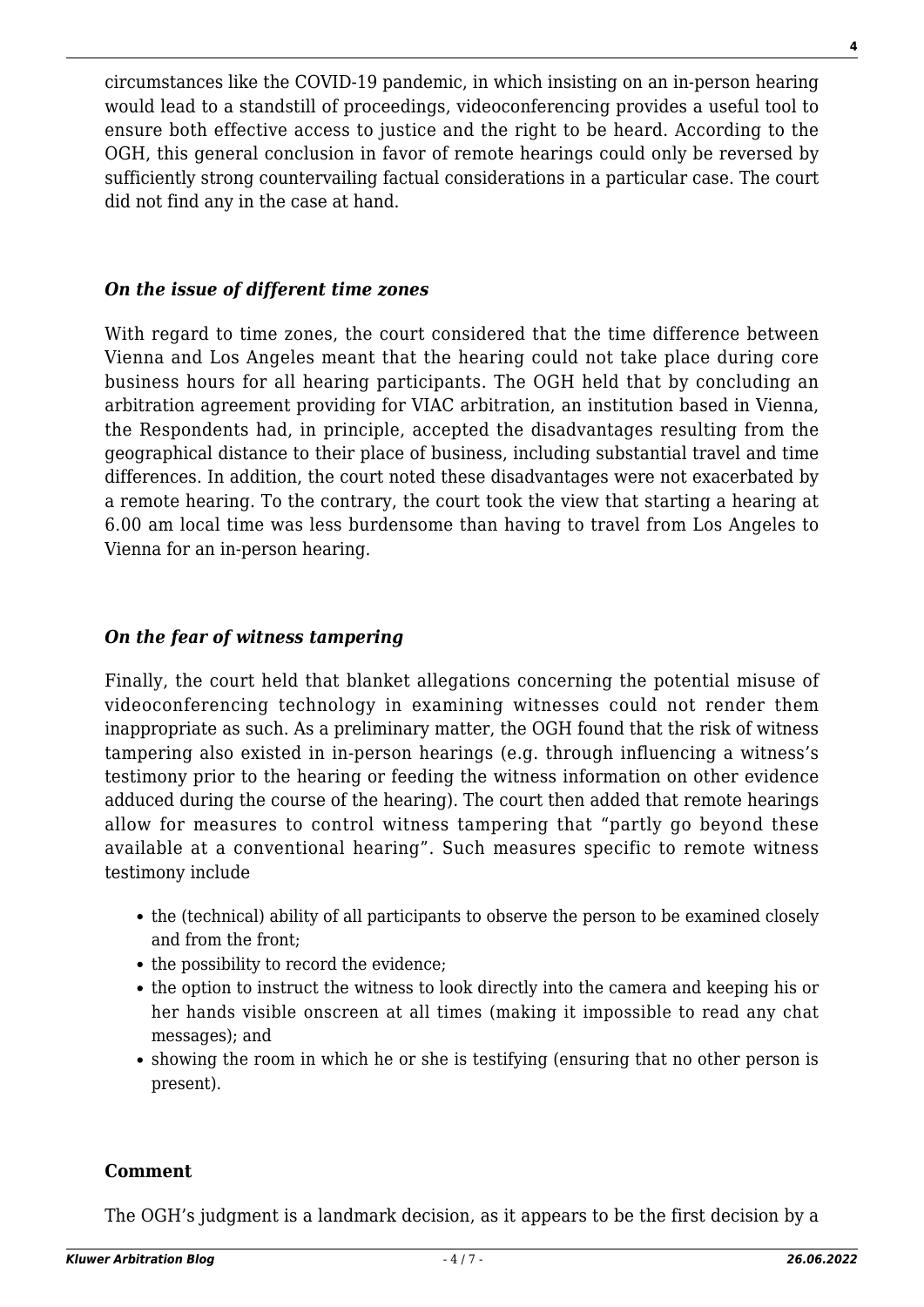circumstances like the COVID-19 pandemic, in which insisting on an in-person hearing would lead to a standstill of proceedings, videoconferencing provides a useful tool to ensure both effective access to justice and the right to be heard. According to the OGH, this general conclusion in favor of remote hearings could only be reversed by sufficiently strong countervailing factual considerations in a particular case. The court did not find any in the case at hand.

#### *On the issue of different time zones*

With regard to time zones, the court considered that the time difference between Vienna and Los Angeles meant that the hearing could not take place during core business hours for all hearing participants. The OGH held that by concluding an arbitration agreement providing for VIAC arbitration, an institution based in Vienna, the Respondents had, in principle, accepted the disadvantages resulting from the geographical distance to their place of business, including substantial travel and time differences. In addition, the court noted these disadvantages were not exacerbated by a remote hearing. To the contrary, the court took the view that starting a hearing at 6.00 am local time was less burdensome than having to travel from Los Angeles to Vienna for an in-person hearing.

#### *On the fear of witness tampering*

Finally, the court held that blanket allegations concerning the potential misuse of videoconferencing technology in examining witnesses could not render them inappropriate as such. As a preliminary matter, the OGH found that the risk of witness tampering also existed in in-person hearings (e.g. through influencing a witness's testimony prior to the hearing or feeding the witness information on other evidence adduced during the course of the hearing). The court then added that remote hearings allow for measures to control witness tampering that "partly go beyond these available at a conventional hearing". Such measures specific to remote witness testimony include

- the (technical) ability of all participants to observe the person to be examined closely and from the front;
- the possibility to record the evidence;
- the option to instruct the witness to look directly into the camera and keeping his or her hands visible onscreen at all times (making it impossible to read any chat messages); and
- showing the room in which he or she is testifying (ensuring that no other person is present).

#### **Comment**

The OGH's judgment is a landmark decision, as it appears to be the first decision by a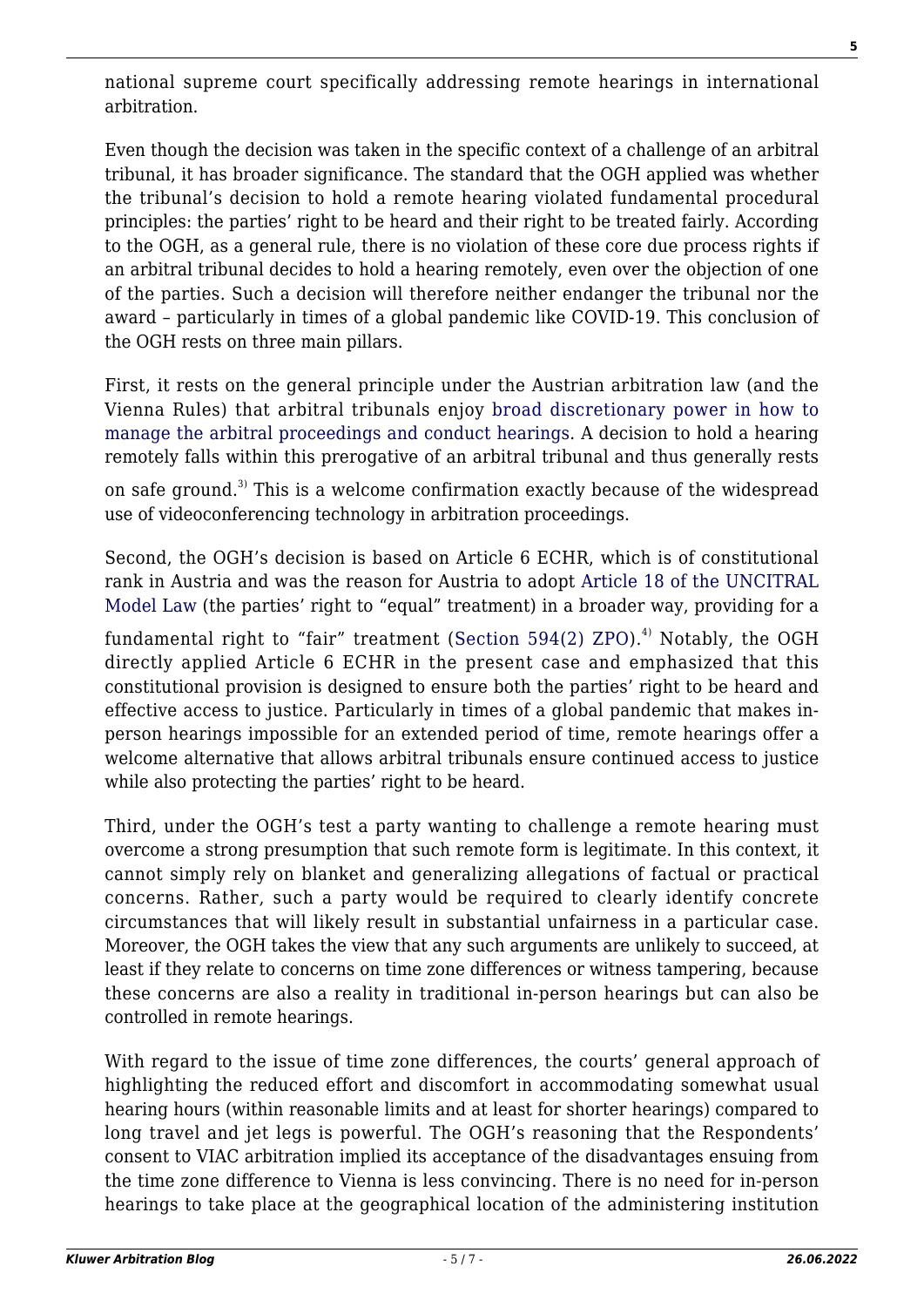national supreme court specifically addressing remote hearings in international arbitration.

Even though the decision was taken in the specific context of a challenge of an arbitral tribunal, it has broader significance. The standard that the OGH applied was whether the tribunal's decision to hold a remote hearing violated fundamental procedural principles: the parties' right to be heard and their right to be treated fairly. According to the OGH, as a general rule, there is no violation of these core due process rights if an arbitral tribunal decides to hold a hearing remotely, even over the objection of one of the parties. Such a decision will therefore neither endanger the tribunal nor the award – particularly in times of a global pandemic like COVID-19. This conclusion of the OGH rests on three main pillars.

First, it rests on the general principle under the Austrian arbitration law (and the Vienna Rules) that arbitral tribunals enjoy [broad discretionary power in how to](https://academic.oup.com/arbitration/article/32/3/415/1741430) [manage the arbitral proceedings and conduct hearings](https://academic.oup.com/arbitration/article/32/3/415/1741430). A decision to hold a hearing remotely falls within this prerogative of an arbitral tribunal and thus generally rests

on safe ground.<sup>3)</sup> This is a welcome confirmation exactly because of the widespread use of videoconferencing technology in arbitration proceedings.

Second, the OGH's decision is based on Article 6 ECHR, which is of constitutional rank in Austria and was the reason for Austria to adopt [Article 18 of the UNCITRAL](https://www.uncitral.org/pdf/english/texts/arbitration/ml-arb/07-86998_Ebook.pdf) [Model Law](https://www.uncitral.org/pdf/english/texts/arbitration/ml-arb/07-86998_Ebook.pdf) (the parties' right to "equal" treatment) in a broader way, providing for a

fundamental right to "fair" treatment ([Section 594\(2\) ZPO\)](https://www.ris.bka.gv.at/Dokumente/Erv/ERV_2006_1_7/ERV_2006_1_7.html).<sup>4)</sup> Notably, the OGH directly applied Article 6 ECHR in the present case and emphasized that this constitutional provision is designed to ensure both the parties' right to be heard and effective access to justice. Particularly in times of a global pandemic that makes inperson hearings impossible for an extended period of time, remote hearings offer a welcome alternative that allows arbitral tribunals ensure continued access to justice while also protecting the parties' right to be heard.

Third, under the OGH's test a party wanting to challenge a remote hearing must overcome a strong presumption that such remote form is legitimate. In this context, it cannot simply rely on blanket and generalizing allegations of factual or practical concerns. Rather, such a party would be required to clearly identify concrete circumstances that will likely result in substantial unfairness in a particular case. Moreover, the OGH takes the view that any such arguments are unlikely to succeed, at least if they relate to concerns on time zone differences or witness tampering, because these concerns are also a reality in traditional in-person hearings but can also be controlled in remote hearings.

With regard to the issue of time zone differences, the courts' general approach of highlighting the reduced effort and discomfort in accommodating somewhat usual hearing hours (within reasonable limits and at least for shorter hearings) compared to long travel and jet legs is powerful. The OGH's reasoning that the Respondents' consent to VIAC arbitration implied its acceptance of the disadvantages ensuing from the time zone difference to Vienna is less convincing. There is no need for in-person hearings to take place at the geographical location of the administering institution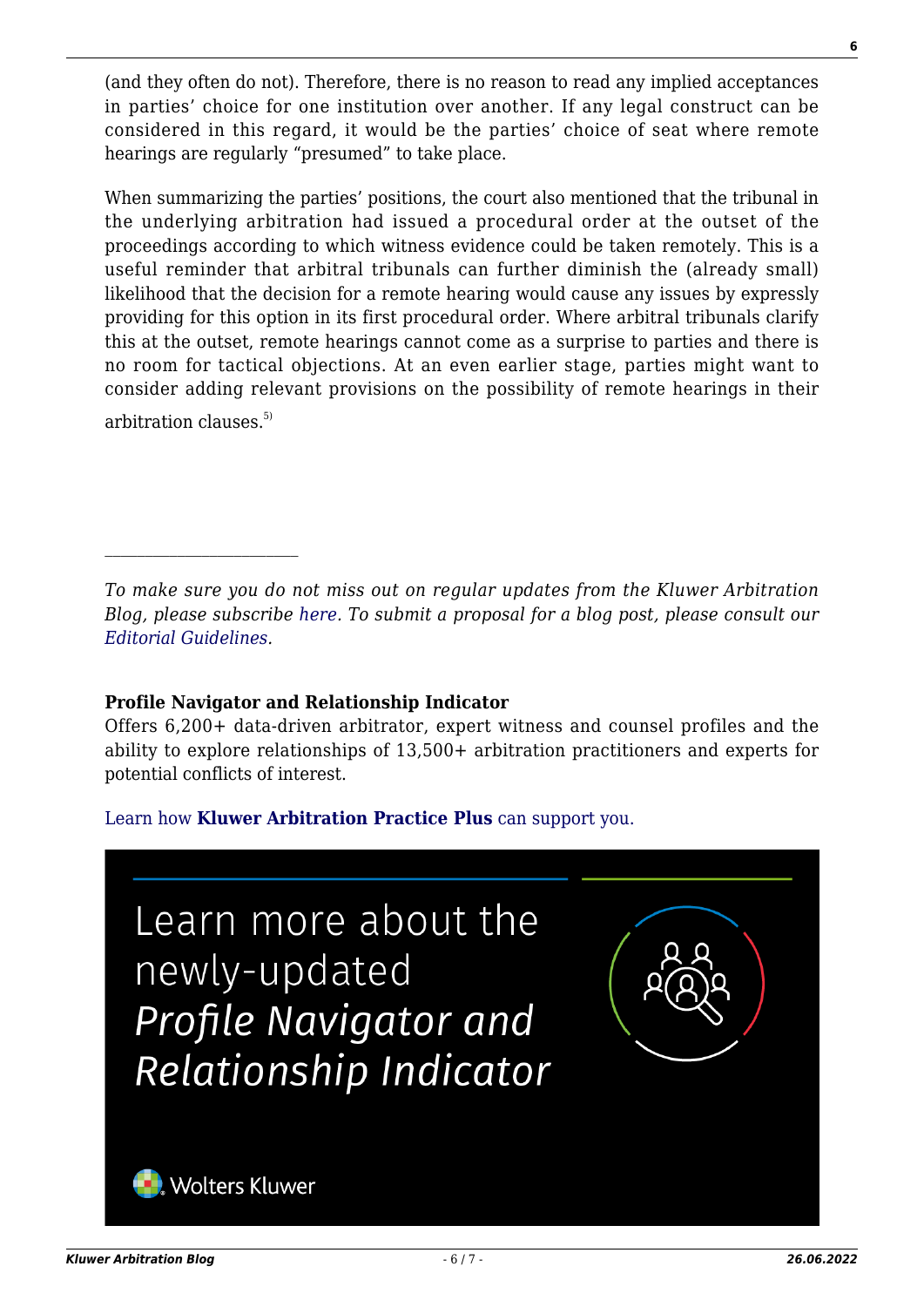(and they often do not). Therefore, there is no reason to read any implied acceptances in parties' choice for one institution over another. If any legal construct can be considered in this regard, it would be the parties' choice of seat where remote hearings are regularly "presumed" to take place.

When summarizing the parties' positions, the court also mentioned that the tribunal in the underlying arbitration had issued a procedural order at the outset of the proceedings according to which witness evidence could be taken remotely. This is a useful reminder that arbitral tribunals can further diminish the (already small) likelihood that the decision for a remote hearing would cause any issues by expressly providing for this option in its first procedural order. Where arbitral tribunals clarify this at the outset, remote hearings cannot come as a surprise to parties and there is no room for tactical objections. At an even earlier stage, parties might want to consider adding relevant provisions on the possibility of remote hearings in their arbitration clauses. $5)$ 

*To make sure you do not miss out on regular updates from the Kluwer Arbitration Blog, please subscribe [here](http://arbitrationblog.kluwerarbitration.com/newsletter/). To submit a proposal for a blog post, please consult our [Editorial Guidelines.](http://arbitrationblog.kluwerarbitration.com/editorial-guidelines/)*

#### **Profile Navigator and Relationship Indicator**

Offers 6,200+ data-driven arbitrator, expert witness and counsel profiles and the ability to explore relationships of 13,500+ arbitration practitioners and experts for potential conflicts of interest.

[Learn how](https://www.wolterskluwer.com/en/solutions/kluwerarbitration/practiceplus?utm_source=arbitrationblog&utm_medium=articleCTA&utm_campaign=article-banner) **[Kluwer Arbitration Practice Plus](https://www.wolterskluwer.com/en/solutions/kluwerarbitration/practiceplus?utm_source=arbitrationblog&utm_medium=articleCTA&utm_campaign=article-banner)** [can support you.](https://www.wolterskluwer.com/en/solutions/kluwerarbitration/practiceplus?utm_source=arbitrationblog&utm_medium=articleCTA&utm_campaign=article-banner)

Learn more about the newly-updated Profile Navigator and Relationship Indicator